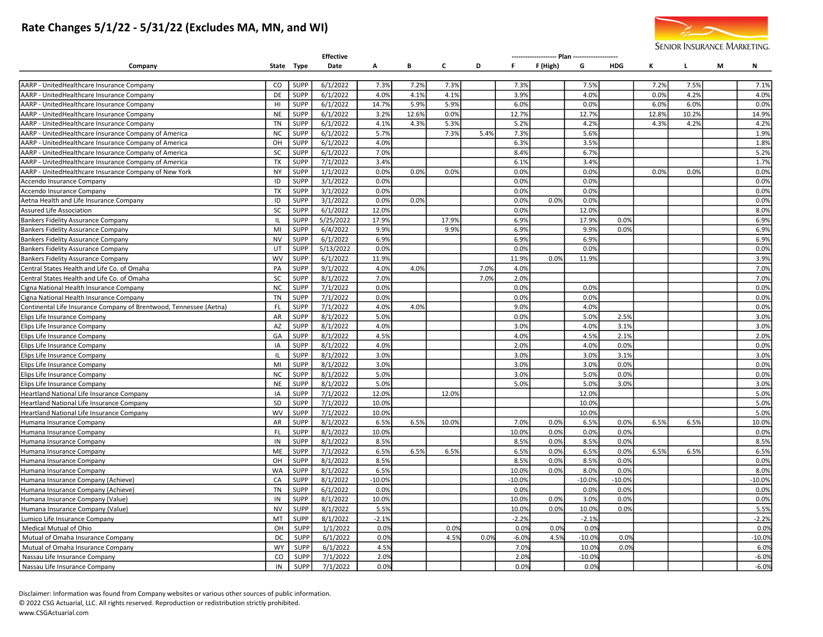# Rate Changes 5/1/22 - 5/31/22 (Excludes MA, MN, and WI)



|                                                                    |                 |                            | <b>Effective</b>     |                 |       |              |      |          |          |          |            |       |       |   |                  |
|--------------------------------------------------------------------|-----------------|----------------------------|----------------------|-----------------|-------|--------------|------|----------|----------|----------|------------|-------|-------|---|------------------|
| Company                                                            |                 | State Type                 | Date                 | А               | В     | C            | D    | F.       | F (High) | G        | <b>HDG</b> | к     | L.    | м | Ν                |
|                                                                    |                 |                            |                      |                 |       |              |      |          |          |          |            |       |       |   |                  |
| AARP - UnitedHealthcare Insurance Company                          | CO              | <b>SUPP</b>                | 6/1/2022             | 7.3%            | 7.2%  | 7.3%         |      | 7.3%     |          | 7.5%     |            | 7.2%  | 7.5%  |   | 7.1%             |
| AARP - UnitedHealthcare Insurance Company                          | DE              | <b>SUPP</b>                | 6/1/2022             | 4.0%            | 4.1%  | 4.1%         |      | 3.9%     |          | 4.0%     |            | 0.0%  | 4.2%  |   | 4.0%             |
| AARP - UnitedHealthcare Insurance Company                          | H1              | <b>SUPP</b>                | 6/1/2022             | 14.7%           | 5.9%  | 5.9%         |      | 6.0%     |          | 0.0%     |            | 6.0%  | 6.0%  |   | 0.0%             |
| AARP - UnitedHealthcare Insurance Company                          | <b>NE</b>       | <b>SUPP</b>                | 6/1/2022             | 3.2%            | 12.6% | 0.0%         |      | 12.7%    |          | 12.7%    |            | 12.89 | 10.2% |   | 14.9%            |
| AARP - UnitedHealthcare Insurance Company                          | <b>TN</b>       | <b>SUPP</b>                | 6/1/2022             | 4.1%            | 4.3%  | 5.3%         |      | 5.2%     |          | 4.2%     |            | 4.3%  | 4.2%  |   | 4.2%             |
| AARP - UnitedHealthcare Insurance Company of America               | <b>NC</b>       | <b>SUPP</b>                | 6/1/2022             | 5.7%            |       | 7.3%         | 5.4% | 7.3%     |          | 5.6%     |            |       |       |   | 1.9%             |
| AARP - UnitedHealthcare Insurance Company of America               | OH              | <b>SUPP</b>                | 6/1/2022             | 4.0%            |       |              |      | 6.3%     |          | 3.5%     |            |       |       |   | 1.8%             |
| AARP - UnitedHealthcare Insurance Company of America               | SC              | <b>SUPP</b>                | 6/1/2022             | 7.0%            |       |              |      | 8.4%     |          | 6.7%     |            |       |       |   | 5.2%             |
| AARP - UnitedHealthcare Insurance Company of America               | <b>TX</b>       | <b>SUPP</b>                | 7/1/2022             | 3.4%            |       |              |      | 6.1%     |          | 3.4%     |            |       |       |   | 1.7%             |
| AARP - UnitedHealthcare Insurance Company of New York              | <b>NY</b>       | <b>SUPP</b>                | 1/1/2022             | 0.0%            | 0.0%  | 0.0%         |      | 0.0%     |          | 0.0%     |            | 0.0%  | 0.0%  |   | 0.0%             |
| Accendo Insurance Company                                          | ID              | <b>SUPP</b>                | 3/1/2022             | 0.0%            |       |              |      | 0.0%     |          | 0.0%     |            |       |       |   | 0.0%             |
| Accendo Insurance Company                                          | <b>TX</b>       | <b>SUPP</b>                | 3/1/2022             | 0.0%            |       |              |      | 0.0%     |          | 0.0%     |            |       |       |   | 0.0%             |
| Aetna Health and Life Insurance Company                            | ID              | <b>SUPP</b>                | 3/1/2022             | 0.0%            | 0.0%  |              |      | 0.0%     | 0.0%     | 0.0%     |            |       |       |   | 0.0%             |
| Assured Life Association                                           | SC              | <b>SUPP</b>                | 6/1/2022             | 12.0%           |       |              |      | 0.0%     |          | 12.0%    |            |       |       |   | 8.0%             |
| <b>Bankers Fidelity Assurance Company</b>                          | $\mathsf{L}$    | <b>SUPP</b>                | 5/25/2022            | 17.9%           |       | 17.9%        |      | 6.9%     |          | 17.9%    | 0.0%       |       |       |   | 6.9%             |
| <b>Bankers Fidelity Assurance Company</b>                          | MI              | <b>SUPP</b>                | 6/4/2022             | 9.9%            |       | 9.9%         |      | 6.9%     |          | 9.9%     | 0.0%       |       |       |   | 6.9%             |
| <b>Bankers Fidelity Assurance Company</b>                          | <b>NV</b>       | <b>SUPP</b>                | 6/1/2022             | 6.9%            |       |              |      | 6.9%     |          | 6.9%     |            |       |       |   | 6.9%             |
| <b>Bankers Fidelity Assurance Company</b>                          | UT              | <b>SUPP</b>                | 5/13/2022            | 0.0%            |       |              |      | 0.0%     |          | 0.0%     |            |       |       |   | 0.0%             |
| <b>Bankers Fidelity Assurance Company</b>                          | <b>WV</b>       | <b>SUPP</b>                | 6/1/2022             | 11.9%           |       |              |      | 11.9%    | 0.0%     | 11.9%    |            |       |       |   | 3.9%             |
| Central States Health and Life Co. of Omaha                        | PA              | <b>SUPP</b>                | 9/1/2022             | 4.0%            | 4.0%  |              | 7.0% | 4.0%     |          |          |            |       |       |   | 7.0%             |
| Central States Health and Life Co. of Omaha                        | SC              | <b>SUPP</b>                | 8/1/2022             | 7.0%            |       |              | 7.0% | 2.0%     |          |          |            |       |       |   | 7.0%             |
| Cigna National Health Insurance Company                            | <b>NC</b>       | <b>SUPP</b>                | 7/1/2022             | 0.0%            |       |              |      | 0.0%     |          | 0.0%     |            |       |       |   | 0.0%             |
| Cigna National Health Insurance Company                            | <b>TN</b>       | <b>SUPP</b>                | 7/1/2022             | 0.0%            |       |              |      | 0.0%     |          | 0.0%     |            |       |       |   | 0.0%             |
| Continental Life Insurance Company of Brentwood, Tennessee (Aetna) | <b>FL</b>       | <b>SUPP</b>                | 7/1/2022             | 4.0%            | 4.0%  |              |      | 9.0%     |          | 4.0%     |            |       |       |   | 0.0%             |
| Elips Life Insurance Company                                       | AR              | <b>SUPP</b>                | 8/1/2022             | 5.0%            |       |              |      | 0.0%     |          | 5.0%     | 2.5%       |       |       |   | 3.0%             |
| Elips Life Insurance Company                                       | AZ              | <b>SUPP</b>                | 8/1/2022             | 4.0%            |       |              |      | 3.0%     |          | 4.0%     | 3.1%       |       |       |   | 3.0%             |
| Elips Life Insurance Company                                       | GA              | <b>SUPP</b>                | 8/1/2022             | 4.5%            |       |              |      | 4.0%     |          | 4.5%     | 2.1%       |       |       |   | 2.0%             |
| Elips Life Insurance Company                                       | IA              | <b>SUPP</b>                | 8/1/2022             | 4.0%            |       |              |      | 2.0%     |          | 4.0%     | 0.0%       |       |       |   | 0.0%             |
| Elips Life Insurance Company                                       | ΙL              | <b>SUPP</b>                | 8/1/2022             | 3.0%            |       |              |      | 3.0%     |          | 3.0%     | 3.1%       |       |       |   | 3.0%             |
| Elips Life Insurance Company                                       | MI              | <b>SUPP</b>                | 8/1/2022             | 3.0%            |       |              |      | 3.0%     |          | 3.0%     | 0.0%       |       |       |   | 0.0%             |
| Elips Life Insurance Company                                       | <b>NC</b>       | <b>SUPP</b>                | 8/1/2022             | 5.0%            |       |              |      | 3.0%     |          | 5.0%     | 0.0%       |       |       |   | 0.0%             |
| Elips Life Insurance Company                                       | <b>NE</b>       | <b>SUPP</b>                | 8/1/2022             | 5.0%            |       |              |      | 5.0%     |          | 5.0%     | 3.0%       |       |       |   | 3.0%             |
| Heartland National Life Insurance Company                          | IA              | <b>SUPP</b>                | 7/1/2022             | 12.0%           |       | 12.0%        |      |          |          | 12.0%    |            |       |       |   | 5.0%             |
| Heartland National Life Insurance Company                          | SD              | <b>SUPP</b>                | 7/1/2022             | 10.0%           |       |              |      |          |          | 10.0%    |            |       |       |   | 5.0%             |
| Heartland National Life Insurance Company                          | <b>WV</b>       | <b>SUPP</b>                | 7/1/2022             | 10.0%           |       |              |      |          |          | 10.0%    |            |       |       |   | 5.0%             |
| Humana Insurance Company                                           | AR              | <b>SUPP</b>                | 8/1/2022             | 6.5%            | 6.5%  | 10.0%        |      | 7.0%     | 0.0%     | 6.5%     | 0.0%       | 6.5%  | 6.5%  |   | 10.0%            |
| Humana Insurance Company                                           | <b>FL</b>       | <b>SUPP</b>                | 8/1/2022             | 10.0%           |       |              |      | 10.0%    | 0.0%     | 0.0%     | 0.0%       |       |       |   | 0.0%             |
| Humana Insurance Company                                           | IN              | <b>SUPP</b>                | 8/1/2022             | 8.5%            |       |              |      | 8.5%     | 0.0%     | 8.5%     | 0.0%       |       |       |   | 8.5%             |
| Humana Insurance Company                                           | ME              | <b>SUPP</b>                | 7/1/2022             | 6.5%            | 6.5%  | 6.5%         |      | 6.5%     | 0.0%     | 6.5%     | 0.0%       | 6.5%  | 6.5%  |   | 6.5%             |
| Humana Insurance Company                                           | OH              | <b>SUPP</b>                | 8/1/2022             | 8.5%            |       |              |      | 8.5%     | 0.0%     | 8.5%     | 0.0%       |       |       |   | 0.0%             |
| Humana Insurance Company                                           | <b>WA</b>       | <b>SUPP</b>                | 8/1/2022             | 6.5%            |       |              |      | 10.0%    | 0.0%     | 8.0%     | 0.0%       |       |       |   | 8.0%             |
| Humana Insurance Company (Achieve)                                 | CA              | <b>SUPP</b>                | 8/1/2022             | $-10.0%$        |       |              |      | $-10.0%$ |          | $-10.0%$ | $-10.0%$   |       |       |   | $-10.0%$         |
| Humana Insurance Company (Achieve)                                 | <b>TN</b>       | <b>SUPP</b>                | 6/1/2022             | 0.0%            |       |              |      | 0.0%     |          | 0.0%     | 0.0%       |       |       |   | 0.0%             |
| Humana Insurance Company (Value)                                   | IN              | <b>SUPP</b>                | 8/1/2022             | 10.0%           |       |              |      | 10.0%    | 0.0%     | 3.0%     | 0.0%       |       |       |   | 0.0%             |
|                                                                    |                 |                            |                      |                 |       |              |      |          |          |          |            |       |       |   |                  |
| Humana Insurance Company (Value)                                   | <b>NV</b><br>MT | <b>SUPP</b>                | 8/1/2022             | 5.5%            |       |              |      | 10.0%    | 0.0%     | 10.0%    | 0.0%       |       |       |   | 5.5%<br>$-2.2%$  |
| Lumico Life Insurance Company                                      | OH              | <b>SUPP</b><br><b>SUPP</b> | 8/1/2022             | $-2.1%$<br>0.0% |       |              |      | $-2.29$  | 0.0%     | $-2.1%$  |            |       |       |   |                  |
| Medical Mutual of Ohio                                             | DC              |                            | 1/1/2022<br>6/1/2022 |                 |       | 0.0%<br>4.5% | 0.0% | 0.0%     | 4.5%     | 0.0%     |            |       |       |   | 0.0%<br>$-10.0%$ |
| Mutual of Omaha Insurance Company                                  |                 | <b>SUPP</b>                |                      | 0.0%            |       |              |      | $-6.0%$  |          | $-10.0%$ | 0.0%       |       |       |   |                  |
| Mutual of Omaha Insurance Company                                  | <b>WY</b>       | <b>SUPP</b>                | 6/1/2022             | 4.5%            |       |              |      | 7.0%     |          | 10.0%    | 0.0%       |       |       |   | 6.0%             |
| Nassau Life Insurance Company                                      | CO              | <b>SUPP</b>                | 7/1/2022             | 2.0%            |       |              |      | 2.0%     |          | $-10.0%$ |            |       |       |   | $-6.0%$          |
| Nassau Life Insurance Company                                      | IN              | <b>SUPP</b>                | 7/1/2022             | 0.0%            |       |              |      | 0.0%     |          | 0.0%     |            |       |       |   | $-6.0%$          |

Disclaimer: Information was found from Company websites or various other sources of public information.

© 2022 CSG Actuarial, LLC. All rights reserved. Reproduction or redistribution strictly prohibited.

www.CSGActuarial.com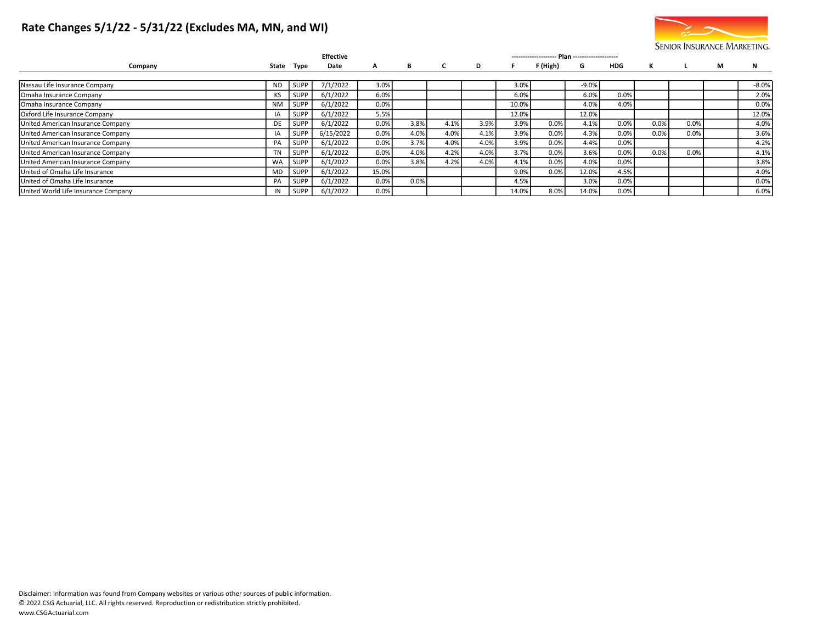# Rate Changes 5/1/22 - 5/31/22 (Excludes MA, MN, and WI)



|                                     |           |             | <b>Effective</b> |       |      | Plan ---------------------<br>--------------------- |      |       |          |         |      |      |      |   |         |
|-------------------------------------|-----------|-------------|------------------|-------|------|-----------------------------------------------------|------|-------|----------|---------|------|------|------|---|---------|
| Company                             |           | State Type  | Date             | A     | В    |                                                     | D    |       | F (High) | G       | HDG  | к    |      | M | N       |
|                                     |           |             |                  |       |      |                                                     |      |       |          |         |      |      |      |   |         |
| Nassau Life Insurance Company       | <b>ND</b> | <b>SUPP</b> | 7/1/2022         | 3.0%  |      |                                                     |      | 3.0%  |          | $-9.0%$ |      |      |      |   | $-8.0%$ |
| Omaha Insurance Company             |           | <b>SUPP</b> | 6/1/2022         | 6.0%  |      |                                                     |      | 6.0%  |          | 6.0%    | 0.0% |      |      |   | 2.0%    |
| Omaha Insurance Company             | <b>NM</b> | SUPP        | 6/1/2022         | 0.0%  |      |                                                     |      | 10.0% |          | 4.0%    | 4.0% |      |      |   | 0.0%    |
| Oxford Life Insurance Company       |           | <b>SUPP</b> | 6/1/2022         | 5.5%  |      |                                                     |      | 12.0% |          | 12.0%   |      |      |      |   | 12.0%   |
| United American Insurance Company   | DE        | <b>SUPP</b> | 6/1/2022         | 0.0%  | 3.8% | 4.1%                                                | 3.9% | 3.9%  | 0.0%     | 4.1%    | 0.0% | 0.0% | 0.0% |   | 4.0%    |
| United American Insurance Company   |           | <b>SUPP</b> | 6/15/2022        | 0.0%  | 4.0% | 4.0%                                                | 4.1% | 3.9%  | 0.0%     | 4.3%    | 0.0% | 0.0% | 0.0% |   | 3.6%    |
| United American Insurance Company   | PA        | <b>SUPP</b> | 6/1/2022         | 0.0%  | 3.7% | 4.0%                                                | 4.0% | 3.9%  | 0.0%     | 4.4%    | 0.0% |      |      |   | 4.2%    |
| United American Insurance Company   | <b>TN</b> | <b>SUPP</b> | 6/1/2022         | 0.0%  | 4.0% | 4.2%                                                | 4.0% | 3.7%  | 0.0%     | 3.6%    | 0.0% | 0.0% | 0.0% |   | 4.1%    |
| United American Insurance Company   | <b>WA</b> | SUPP        | 6/1/2022         | 0.0%  | 3.8% | 4.2%                                                | 4.0% | 4.1%  | 0.0%     | 4.0%    | 0.0% |      |      |   | 3.8%    |
| United of Omaha Life Insurance      | MD        | <b>SUPP</b> | 6/1/2022         | 15.0% |      |                                                     |      | 9.0%  | 0.0%     | 12.0%   | 4.5% |      |      |   | 4.0%    |
| United of Omaha Life Insurance      | PA        | <b>SUPP</b> | 6/1/2022         | 0.0%  | 0.0% |                                                     |      | 4.5%  |          | 3.0%    | 0.0% |      |      |   | 0.0%    |
| United World Life Insurance Company |           | SUPP        | 6/1/2022         | 0.0%  |      |                                                     |      | 14.0% | 8.0%     | 14.0%   | 0.0% |      |      |   | 6.0%    |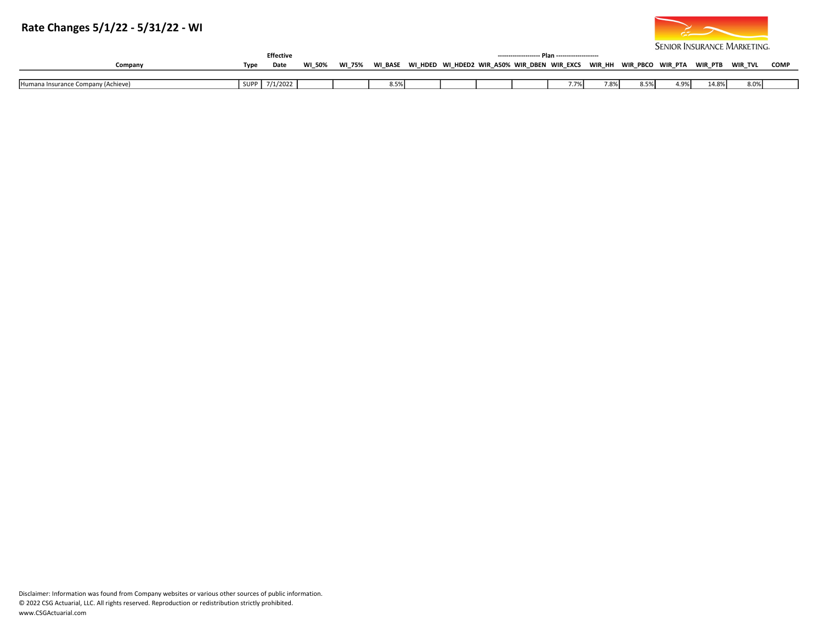# Rate Changes 5/1/22 - 5/31/22 - WI



|         |      | <b>Effective</b> |        |               |                 |                |                                         |          |        |          |         |         | <u>SERIOR INSURANCE IN INNETING</u> |      |
|---------|------|------------------|--------|---------------|-----------------|----------------|-----------------------------------------|----------|--------|----------|---------|---------|-------------------------------------|------|
| Company | Туре | Date             | WI 50% | <b>WI 75%</b> | <b>BASE</b><br> | <b>WI HDED</b> | <b>WIR A50%</b><br>WI HDED2<br>WIR DBEN | WIR EXCS | WIR HH | WIR PBCO | WIR PTA | wir PTB | WIR TVL                             | COMI |
|         |      |                  |        |               |                 |                |                                         |          |        |          |         |         |                                     |      |

| …Je Company (Achierri)<br><b>IHumana Insurance</b> | . SLIPP | 7/1/2022 |  | - -<br>״<br>. |  |  | $ -$<br>,,,, | 7.8%<br>070. | a ma | $\sim$<br>- → フノし | $\wedge$ 00/<br>.4.070 | 8.0% |  |
|----------------------------------------------------|---------|----------|--|---------------|--|--|--------------|--------------|------|-------------------|------------------------|------|--|
|                                                    |         |          |  |               |  |  |              |              |      |                   |                        |      |  |

Disclaimer: Information was found from Company websites or various other sources of public information. © 2022 CSG Actuarial, LLC. All rights reserved. Reproduction or redistribution strictly prohibited. www.CSGActuarial.com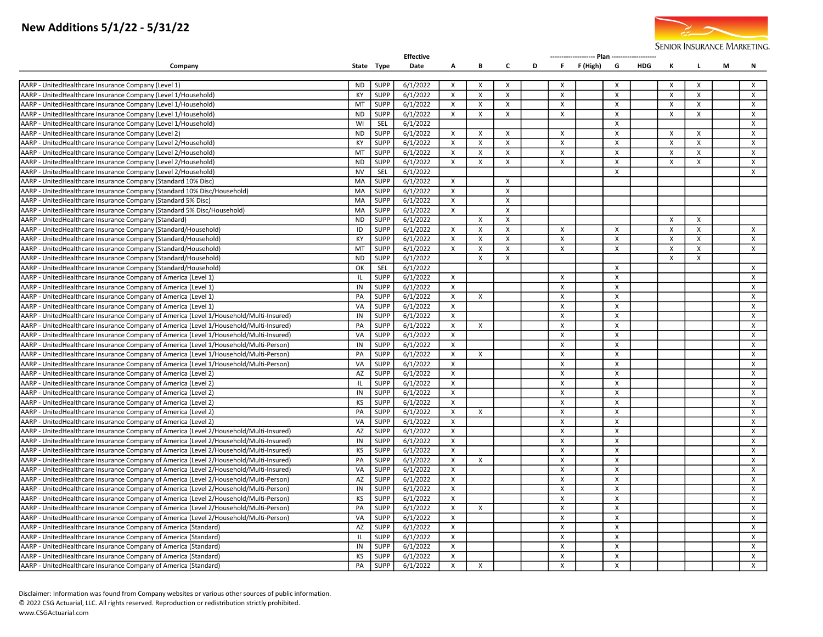# New Additions 5/1/22 - 5/31/22



|                                                                                        |              |             | <b>Effective</b> |                           |                           |                           |   |                           |             |                           |            |              |          |   |                           |
|----------------------------------------------------------------------------------------|--------------|-------------|------------------|---------------------------|---------------------------|---------------------------|---|---------------------------|-------------|---------------------------|------------|--------------|----------|---|---------------------------|
| Company                                                                                |              | State Type  | Date             | A                         | В                         | C                         | D |                           | F F(High) G |                           | <b>HDG</b> | к            | L.       | М | N                         |
| AARP - UnitedHealthcare Insurance Company (Level 1)                                    | <b>ND</b>    | <b>SUPP</b> | 6/1/2022         | $\times$                  | $\times$                  | $\times$                  |   | $\boldsymbol{\mathsf{x}}$ |             | $\times$                  |            | $\times$     | X        |   | $\mathsf{X}$              |
| AARP - UnitedHealthcare Insurance Company (Level 1/Household)                          | KY           | SUPP        | 6/1/2022         | X                         | $\boldsymbol{\mathsf{X}}$ | $\mathsf{X}$              |   | X                         |             | X                         |            | X            | X        |   | $\boldsymbol{\mathsf{X}}$ |
| AARP - UnitedHealthcare Insurance Company (Level 1/Household)                          | MT           | <b>SUPP</b> | 6/1/2022         | $\mathsf{x}$              | $\mathsf{x}$              | $\mathsf{x}$              |   | $\times$                  |             | X                         |            | $\mathsf{X}$ | X        |   | $\mathsf{x}$              |
| AARP - UnitedHealthcare Insurance Company (Level 1/Household)                          | <b>ND</b>    | <b>SUPP</b> | 6/1/2022         | X                         | X                         | $\mathsf{X}$              |   | $\times$                  |             | $\times$                  |            | X            | X        |   | $\mathsf{x}$              |
| AARP - UnitedHealthcare Insurance Company (Level 1/Household)                          | WI           | SEL         | 6/1/2022         |                           |                           |                           |   |                           |             | X                         |            |              |          |   | $\boldsymbol{\mathsf{x}}$ |
| AARP - UnitedHealthcare Insurance Company (Level 2)                                    | <b>ND</b>    | <b>SUPP</b> | 6/1/2022         | X                         | X                         | X                         |   | X                         |             | х                         |            | X            | X        |   | $\mathsf{x}$              |
| AARP - UnitedHealthcare Insurance Company (Level 2/Household)                          | KY           | <b>SUPP</b> | 6/1/2022         | Χ                         | X                         | $\boldsymbol{\mathsf{x}}$ |   | X                         |             | X                         |            | X            | X        |   | $\boldsymbol{\mathsf{x}}$ |
| AARP - UnitedHealthcare Insurance Company (Level 2/Household)                          | MT           | <b>SUPP</b> | 6/1/2022         | X                         | $\mathsf{X}$              | $\mathsf{x}$              |   | $\mathsf{x}$              |             | $\boldsymbol{\mathsf{x}}$ |            | $\mathsf{x}$ | X        |   | $\times$                  |
| AARP - UnitedHealthcare Insurance Company (Level 2/Household)                          | <b>ND</b>    | SUPP        | 6/1/2022         | X                         | $\pmb{\chi}$              | X                         |   | X                         |             | X                         |            | $\mathsf{x}$ | X        |   | $\mathsf{x}$              |
| AARP - UnitedHealthcare Insurance Company (Level 2/Household)                          | <b>NV</b>    | SEL         | 6/1/2022         |                           |                           |                           |   |                           |             | X                         |            |              |          |   | $\mathsf{X}$              |
| AARP - UnitedHealthcare Insurance Company (Standard 10% Disc)                          | MA           | <b>SUPP</b> | 6/1/2022         | X                         |                           | $\boldsymbol{\mathsf{X}}$ |   |                           |             |                           |            |              |          |   |                           |
| AARP - UnitedHealthcare Insurance Company (Standard 10% Disc/Household)                | MA           | <b>SUPP</b> | 6/1/2022         | $\times$                  |                           | X                         |   |                           |             |                           |            |              |          |   |                           |
| AARP - UnitedHealthcare Insurance Company (Standard 5% Disc)                           | MA           | <b>SUPP</b> | 6/1/2022         | X                         |                           | $\mathsf{X}$              |   |                           |             |                           |            |              |          |   |                           |
| AARP - UnitedHealthcare Insurance Company (Standard 5% Disc/Household)                 | MA           | SUPP        | 6/1/2022         | X                         |                           | $\boldsymbol{\mathsf{X}}$ |   |                           |             |                           |            |              |          |   |                           |
| AARP - UnitedHealthcare Insurance Company (Standard)                                   | <b>ND</b>    | <b>SUPP</b> | 6/1/2022         |                           | $\times$                  | X                         |   |                           |             |                           |            | X            | $\times$ |   |                           |
| AARP - UnitedHealthcare Insurance Company (Standard/Household)                         | ID           | <b>SUPP</b> | 6/1/2022         | $\mathsf{x}$              | $\times$                  | X                         |   | X                         |             | X                         |            | X            | X        |   | $\mathsf{x}$              |
| AARP - UnitedHealthcare Insurance Company (Standard/Household)                         | KY           | SUPP        | 6/1/2022         | $\mathsf{x}$              | X                         | $\boldsymbol{\mathsf{x}}$ |   | X                         |             | X                         |            | X            | X        |   | $\boldsymbol{\mathsf{x}}$ |
| AARP - UnitedHealthcare Insurance Company (Standard/Household)                         | MT           | <b>SUPP</b> | 6/1/2022         | X                         | X                         | X                         |   | X                         |             | X                         |            | X            | X        |   | $\mathsf{x}$              |
| AARP - UnitedHealthcare Insurance Company (Standard/Household)                         | <b>ND</b>    | <b>SUPP</b> | 6/1/2022         |                           | $\mathsf{x}$              | $\boldsymbol{\mathsf{x}}$ |   |                           |             |                           |            | $\mathsf{x}$ | X        |   |                           |
| AARP - UnitedHealthcare Insurance Company (Standard/Household)                         | OK           | SEL         | 6/1/2022         |                           |                           |                           |   |                           |             | X                         |            |              |          |   | $\boldsymbol{\mathsf{x}}$ |
| AARP - UnitedHealthcare Insurance Company of America (Level 1)                         | IL           | <b>SUPP</b> | 6/1/2022         | X                         |                           |                           |   | $\boldsymbol{\mathsf{x}}$ |             | X                         |            |              |          |   | $\boldsymbol{\mathsf{x}}$ |
| AARP - UnitedHealthcare Insurance Company of America (Level 1)                         | IN           | <b>SUPP</b> | 6/1/2022         | $\mathsf{x}$              |                           |                           |   | $\times$                  |             | X                         |            |              |          |   | $\mathsf{x}$              |
| AARP - UnitedHealthcare Insurance Company of America (Level 1)                         | PA           | SUPP        | 6/1/2022         | X                         | X                         |                           |   | X                         |             | X                         |            |              |          |   | X                         |
| AARP - UnitedHealthcare Insurance Company of America (Level 1)                         | VA           | <b>SUPP</b> | 6/1/2022         | $\times$                  |                           |                           |   | $\boldsymbol{\mathsf{x}}$ |             | X                         |            |              |          |   | $\boldsymbol{\mathsf{x}}$ |
| AARP - UnitedHealthcare Insurance Company of America (Level 1/Household/Multi-Insured) | IN           | <b>SUPP</b> | 6/1/2022         | X                         |                           |                           |   | X                         |             | х                         |            |              |          |   | X                         |
| AARP - UnitedHealthcare Insurance Company of America (Level 1/Household/Multi-Insured) | PA           | SUPP        | 6/1/2022         | X                         | X                         |                           |   | $\boldsymbol{\mathsf{X}}$ |             | X                         |            |              |          |   | X                         |
| AARP - UnitedHealthcare Insurance Company of America (Level 1/Household/Multi-Insured) | VA           | <b>SUPP</b> | 6/1/2022         | $\mathsf{x}$              |                           |                           |   | $\times$                  |             | X                         |            |              |          |   | $\times$                  |
| AARP - UnitedHealthcare Insurance Company of America (Level 1/Household/Multi-Person)  | IN           | <b>SUPP</b> | 6/1/2022         | X                         |                           |                           |   | X                         |             | X                         |            |              |          |   | $\mathsf{x}$              |
| AARP - UnitedHealthcare Insurance Company of America (Level 1/Household/Multi-Person)  | PA           | <b>SUPP</b> | 6/1/2022         | $\mathsf{x}$              | $\mathsf{x}$              |                           |   | X                         |             | $\mathsf{x}$              |            |              |          |   | $\mathsf{x}$              |
| AARP - UnitedHealthcare Insurance Company of America (Level 1/Household/Multi-Person)  | VA           | <b>SUPP</b> | 6/1/2022         | X                         |                           |                           |   | X                         |             | х                         |            |              |          |   | $\boldsymbol{\mathsf{x}}$ |
| AARP - UnitedHealthcare Insurance Company of America (Level 2)                         | AZ           | <b>SUPP</b> | 6/1/2022         | $\mathsf{x}$              |                           |                           |   | $\times$                  |             | $\times$                  |            |              |          |   | $\times$                  |
| AARP - UnitedHealthcare Insurance Company of America (Level 2)                         | $\mathbf{L}$ | <b>SUPP</b> | 6/1/2022         | X                         |                           |                           |   | $\pmb{\chi}$              |             | X                         |            |              |          |   | X                         |
| AARP - UnitedHealthcare Insurance Company of America (Level 2)                         | IN           | <b>SUPP</b> | 6/1/2022         | X                         |                           |                           |   | X                         |             | х                         |            |              |          |   | X                         |
| AARP - UnitedHealthcare Insurance Company of America (Level 2)                         | KS           | SUPP        | 6/1/2022         | $\times$                  |                           |                           |   | $\times$                  |             | X                         |            |              |          |   | $\times$                  |
| AARP - UnitedHealthcare Insurance Company of America (Level 2)                         | PA           | SUPP        | 6/1/2022         | х                         | $\boldsymbol{\mathsf{x}}$ |                           |   | X                         |             | X                         |            |              |          |   | X                         |
| AARP - UnitedHealthcare Insurance Company of America (Level 2)                         | VA           | <b>SUPP</b> | 6/1/2022         | X                         |                           |                           |   | $\mathsf{x}$              |             | $\times$                  |            |              |          |   | $\mathsf{x}$              |
| AARP - UnitedHealthcare Insurance Company of America (Level 2/Household/Multi-Insured) | AZ           | <b>SUPP</b> | 6/1/2022         | X                         |                           |                           |   | $\times$                  |             | $\boldsymbol{\mathsf{x}}$ |            |              |          |   | $\mathsf{x}$              |
| AARP - UnitedHealthcare Insurance Company of America (Level 2/Household/Multi-Insured) | IN           | SUPP        | 6/1/2022         | $\boldsymbol{\mathsf{x}}$ |                           |                           |   | X                         |             | X                         |            |              |          |   | $\mathsf{x}$              |
| AARP - UnitedHealthcare Insurance Company of America (Level 2/Household/Multi-Insured) | KS           | <b>SUPP</b> | 6/1/2022         | X                         |                           |                           |   | X                         |             | х                         |            |              |          |   | $\mathsf{x}$              |
| AARP - UnitedHealthcare Insurance Company of America (Level 2/Household/Multi-Insured) | PA           | SUPP        | 6/1/2022         | X                         | $\times$                  |                           |   | $\times$                  |             | X                         |            |              |          |   | X                         |
| AARP - UnitedHealthcare Insurance Company of America (Level 2/Household/Multi-Insured) | VA           | SUPP        | 6/1/2022         | $\mathsf{x}$              |                           |                           |   | $\mathsf{x}$              |             | $\boldsymbol{\mathsf{x}}$ |            |              |          |   | $\mathsf{x}$              |
| AARP - UnitedHealthcare Insurance Company of America (Level 2/Household/Multi-Person)  | AZ           | <b>SUPP</b> | 6/1/2022         | X                         |                           |                           |   | X                         |             | $\times$                  |            |              |          |   | X                         |
| AARP - UnitedHealthcare Insurance Company of America (Level 2/Household/Multi-Person)  | IN           | <b>SUPP</b> | 6/1/2022         | $\times$                  |                           |                           |   | $\mathsf{x}$              |             | $\times$                  |            |              |          |   | $\mathsf{x}$              |
| AARP - UnitedHealthcare Insurance Company of America (Level 2/Household/Multi-Person)  | KS           | <b>SUPP</b> | 6/1/2022         | X                         |                           |                           |   | X                         |             | X                         |            |              |          |   | X                         |
| AARP - UnitedHealthcare Insurance Company of America (Level 2/Household/Multi-Person)  | PA           | <b>SUPP</b> | 6/1/2022         | $\times$                  | $\times$                  |                           |   | $\times$                  |             | х                         |            |              |          |   | X                         |
| AARP - UnitedHealthcare Insurance Company of America (Level 2/Household/Multi-Person)  | VA           | <b>SUPP</b> | 6/1/2022         | X                         |                           |                           |   | X                         |             | X                         |            |              |          |   | X                         |
| AARP - UnitedHealthcare Insurance Company of America (Standard)                        | AZ           | SUPP        | 6/1/2022         | X                         |                           |                           |   | X                         |             | X                         |            |              |          |   | X                         |
| AARP - UnitedHealthcare Insurance Company of America (Standard)                        | IL           | SUPP        | 6/1/2022         | $\times$                  |                           |                           |   | $\times$                  |             | $\times$                  |            |              |          |   | $\times$                  |
| AARP - UnitedHealthcare Insurance Company of America (Standard)                        | IN           | SUPP        | 6/1/2022         | $\boldsymbol{\mathsf{x}}$ |                           |                           |   | X                         |             | X                         |            |              |          |   | $\mathsf{x}$              |
| AARP - UnitedHealthcare Insurance Company of America (Standard)                        | KS           | <b>SUPP</b> | 6/1/2022         | $\mathsf{x}$              |                           |                           |   | $\mathsf{x}$              |             | X                         |            |              |          |   | $\mathsf{X}$              |
| AARP - UnitedHealthcare Insurance Company of America (Standard)                        | PA           | <b>SUPP</b> | 6/1/2022         | X                         | $\mathsf{x}$              |                           |   | $\mathsf{X}$              |             | $\boldsymbol{\mathsf{x}}$ |            |              |          |   | $\mathsf{x}$              |

Disclaimer: Information was found from Company websites or various other sources of public information.

© 2022 CSG Actuarial, LLC. All rights reserved. Reproduction or redistribution strictly prohibited.

www.CSGActuarial.com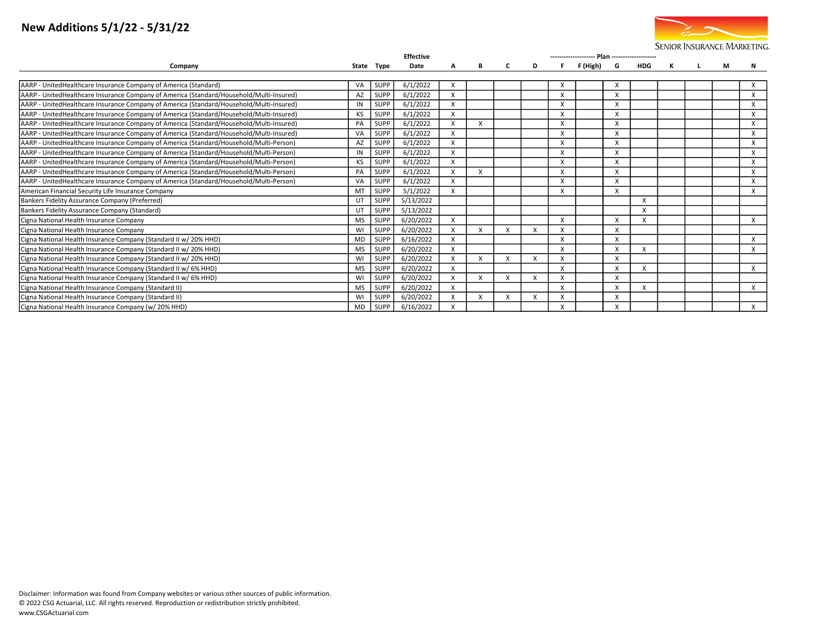# New Additions 5/1/22 - 5/31/22



|                                                                                         | <b>Effective</b> |             |           |                           |   |   |   |   |          |                           |            |   |  |   |          |
|-----------------------------------------------------------------------------------------|------------------|-------------|-----------|---------------------------|---|---|---|---|----------|---------------------------|------------|---|--|---|----------|
| Company                                                                                 |                  | State Type  | Date      | А                         | в | C | D |   | F (High) | G                         | <b>HDG</b> | к |  | М | N        |
|                                                                                         |                  |             |           |                           |   |   |   |   |          |                           |            |   |  |   |          |
| AARP - UnitedHealthcare Insurance Company of America (Standard)                         | VA               | <b>SUPP</b> | 6/1/2022  | х                         |   |   |   | X |          |                           |            |   |  |   | X        |
| AARP - UnitedHealthcare Insurance Company of America (Standard/Household/Multi-Insured) | AZ               | <b>SUPP</b> | 6/1/2022  | X                         |   |   |   | X |          | X                         |            |   |  |   | X        |
| AARP - UnitedHealthcare Insurance Company of America (Standard/Household/Multi-Insured) |                  | <b>SUPP</b> | 6/1/2022  | X                         |   |   |   | X |          | X                         |            |   |  |   | X        |
| AARP - UnitedHealthcare Insurance Company of America (Standard/Household/Multi-Insured) | KS               | <b>SUPP</b> | 6/1/2022  | X                         |   |   |   | X |          | X                         |            |   |  |   | X        |
| AARP - UnitedHealthcare Insurance Company of America (Standard/Household/Multi-Insured) | PA               | <b>SUPP</b> | 6/1/2022  | $\boldsymbol{\mathsf{x}}$ | X |   |   | X |          | X                         |            |   |  |   | X        |
| AARP - UnitedHealthcare Insurance Company of America (Standard/Household/Multi-Insured) | VA               | <b>SUPP</b> | 6/1/2022  | X                         |   |   |   | X |          | X                         |            |   |  |   | X        |
| AARP - UnitedHealthcare Insurance Company of America (Standard/Household/Multi-Person)  | AZ               | <b>SUPP</b> | 6/1/2022  | X                         |   |   |   | X |          | X                         |            |   |  |   | X        |
| AARP - UnitedHealthcare Insurance Company of America (Standard/Household/Multi-Person)  | ΙN               | <b>SUPP</b> | 6/1/2022  | X                         |   |   |   | X |          | X                         |            |   |  |   | X        |
| AARP - UnitedHealthcare Insurance Company of America (Standard/Household/Multi-Person)  | KS               | <b>SUPP</b> | 6/1/2022  | X                         |   |   |   | X |          | X                         |            |   |  |   | X        |
| AARP - UnitedHealthcare Insurance Company of America (Standard/Household/Multi-Person)  | PA               | <b>SUPP</b> | 6/1/2022  | $\mathsf{x}$              | X |   |   | X |          | $\boldsymbol{\mathsf{x}}$ |            |   |  |   | $\times$ |
| AARP - UnitedHealthcare Insurance Company of America (Standard/Household/Multi-Person)  | VA               | <b>SUPP</b> | 6/1/2022  | $\boldsymbol{\mathsf{x}}$ |   |   |   | X |          | X                         |            |   |  |   | $\times$ |
| American Financial Security Life Insurance Company                                      | MT               | <b>SUPP</b> | 5/1/2022  | X                         |   |   |   | X |          | X                         |            |   |  |   | X        |
| Bankers Fidelity Assurance Company (Preferred)                                          | UT               | <b>SUPP</b> | 5/13/2022 |                           |   |   |   |   |          |                           | X          |   |  |   |          |
| Bankers Fidelity Assurance Company (Standard)                                           | UT               | <b>SUPP</b> | 5/13/2022 |                           |   |   |   |   |          |                           | X          |   |  |   |          |
| Cigna National Health Insurance Company                                                 | <b>MS</b>        | <b>SUPP</b> | 6/20/2022 | $\boldsymbol{\mathsf{x}}$ |   |   |   | X |          | x                         | X          |   |  |   | X        |
| Cigna National Health Insurance Company                                                 | WI               | <b>SUPP</b> | 6/20/2022 |                           |   |   |   | X |          | X                         |            |   |  |   |          |
| Cigna National Health Insurance Company (Standard II w/ 20% HHD)                        | <b>MD</b>        | <b>SUPP</b> | 6/16/2022 | X                         |   |   |   | X |          | X                         |            |   |  |   | X        |
| Cigna National Health Insurance Company (Standard II w/ 20% HHD)                        | <b>MS</b>        | <b>SUPP</b> | 6/20/2022 | X                         |   |   |   | x |          | X                         | X          |   |  |   | X        |
| Cigna National Health Insurance Company (Standard II w/20% HHD)                         | WI               | <b>SUPP</b> | 6/20/2022 | $\boldsymbol{\mathsf{x}}$ | X |   |   | X |          | $\boldsymbol{\mathsf{x}}$ |            |   |  |   |          |
| Cigna National Health Insurance Company (Standard II w/ 6% HHD)                         | <b>MS</b>        | <b>SUPP</b> | 6/20/2022 | X                         |   |   |   | X |          | X                         | X          |   |  |   | X        |
| Cigna National Health Insurance Company (Standard II w/ 6% HHD)                         | WI               | <b>SUPP</b> | 6/20/2022 | X                         | X |   |   | X |          | X                         |            |   |  |   |          |
| Cigna National Health Insurance Company (Standard II)                                   | <b>MS</b>        | <b>SUPP</b> | 6/20/2022 | X                         |   |   |   | X |          |                           | X          |   |  |   | X        |
| Cigna National Health Insurance Company (Standard II)                                   | WI               | <b>SUPP</b> | 6/20/2022 | X                         | X |   |   | X |          | X                         |            |   |  |   |          |
| Cigna National Health Insurance Company (w/20% HHD)                                     | <b>MD</b>        | <b>SUPP</b> | 6/16/2022 | X                         |   |   |   | X |          | X                         |            |   |  |   | X        |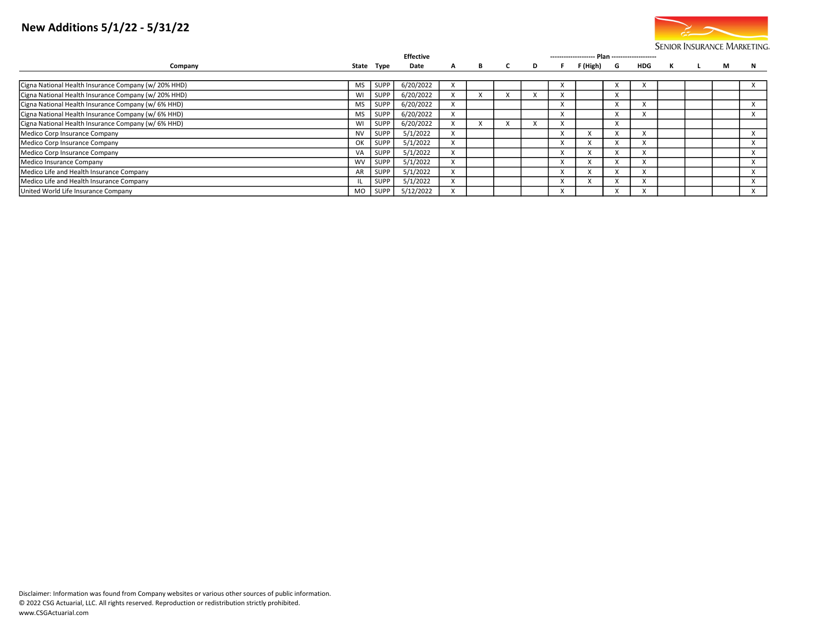# New Additions 5/1/22 - 5/31/22



|                                                      | <b>Effective</b><br>-------------------- Plan -------------------- |             |           |   |   |  |   |           |           |  |     |              |  |   |           |
|------------------------------------------------------|--------------------------------------------------------------------|-------------|-----------|---|---|--|---|-----------|-----------|--|-----|--------------|--|---|-----------|
| Company                                              |                                                                    | State Type  | Date      | A | B |  | D |           | F(High) G |  | HDG | $\mathbf{K}$ |  | M | N         |
|                                                      |                                                                    |             |           |   |   |  |   |           |           |  |     |              |  |   |           |
| Cigna National Health Insurance Company (w/ 20% HHD) | MS                                                                 | <b>SUPP</b> | 6/20/2022 |   |   |  |   | A         |           |  |     |              |  |   |           |
| Cigna National Health Insurance Company (w/20% HHD)  | W١                                                                 | <b>SUPP</b> | 6/20/2022 |   |   |  |   |           |           |  |     |              |  |   |           |
| Cigna National Health Insurance Company (w/ 6% HHD)  | MS                                                                 | <b>SUPP</b> | 6/20/2022 | X |   |  |   | $\lambda$ |           |  |     |              |  |   | $\lambda$ |
| Cigna National Health Insurance Company (w/ 6% HHD)  | MS                                                                 | <b>SUPP</b> | 6/20/2022 |   |   |  |   | $\lambda$ |           |  |     |              |  |   |           |
| Cigna National Health Insurance Company (w/ 6% HHD)  | W١                                                                 | <b>SUPP</b> | 6/20/2022 |   |   |  |   |           |           |  |     |              |  |   |           |
| Medico Corp Insurance Company                        | <b>NV</b>                                                          | <b>SUPP</b> | 5/1/2022  |   |   |  |   | $\lambda$ |           |  |     |              |  |   |           |
| Medico Corp Insurance Company                        | OK                                                                 | SUPP        | 5/1/2022  | X |   |  |   | $\lambda$ |           |  |     |              |  |   |           |
| Medico Corp Insurance Company                        | VA                                                                 | <b>SUPP</b> | 5/1/2022  |   |   |  |   | $\lambda$ |           |  |     |              |  |   |           |
| Medico Insurance Company                             | <b>WV</b>                                                          | SUPP        | 5/1/2022  | X |   |  |   | $\lambda$ |           |  |     |              |  |   | $\lambda$ |
| Medico Life and Health Insurance Company             | AR                                                                 | <b>SUPP</b> | 5/1/2022  |   |   |  |   |           |           |  |     |              |  |   |           |
| Medico Life and Health Insurance Company             |                                                                    | <b>SUPP</b> | 5/1/2022  | x |   |  |   | л         |           |  |     |              |  |   |           |
| United World Life Insurance Company                  | MO.                                                                | SUPP        | 5/12/2022 |   |   |  |   |           |           |  |     |              |  |   |           |